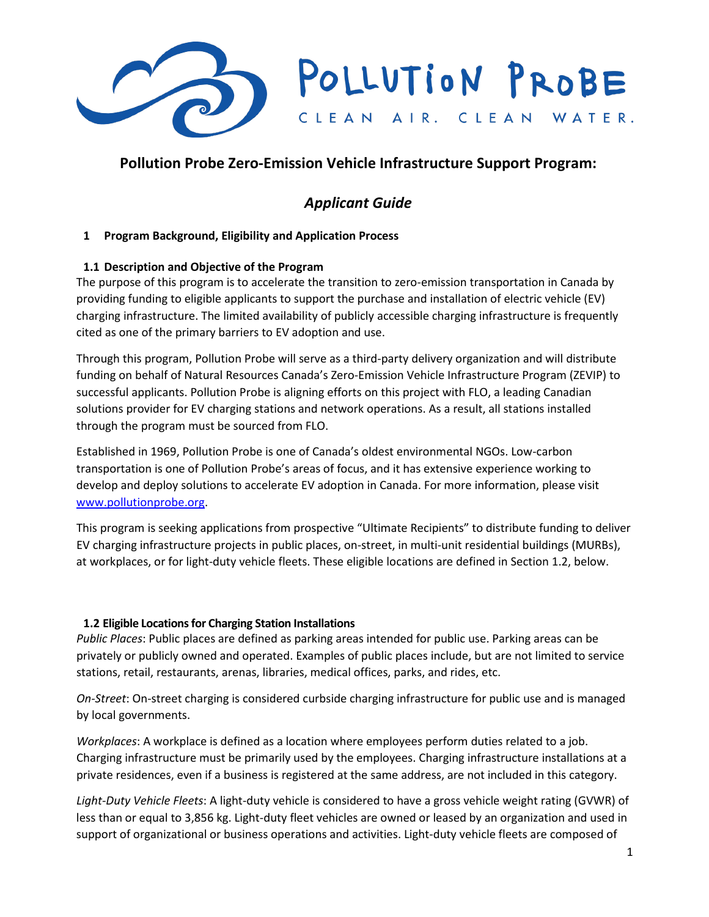

## **Pollution Probe Zero-Emission Vehicle Infrastructure Support Program:**

# *Applicant Guide*

## **1 Program Background, Eligibility and Application Process**

## **1.1 Description and Objective of the Program**

The purpose of this program is to accelerate the transition to zero-emission transportation in Canada by providing funding to eligible applicants to support the purchase and installation of electric vehicle (EV) charging infrastructure. The limited availability of publicly accessible charging infrastructure is frequently cited as one of the primary barriers to EV adoption and use.

Through this program, Pollution Probe will serve as a third-party delivery organization and will distribute funding on behalf of Natural Resources Canada's Zero-Emission Vehicle Infrastructure Program (ZEVIP) to successful applicants. Pollution Probe is aligning efforts on this project with FLO, a leading Canadian solutions provider for EV charging stations and network operations. As a result, all stations installed through the program must be sourced from FLO.

Established in 1969, Pollution Probe is one of Canada's oldest environmental NGOs. Low-carbon transportation is one of Pollution Probe's areas of focus, and it has extensive experience working to develop and deploy solutions to accelerate EV adoption in Canada. For more information, please visit [www.pollutionprobe.org.](http://www.pollutionprobe.org/)

This program is seeking applications from prospective "Ultimate Recipients" to distribute funding to deliver EV charging infrastructure projects in public places, on-street, in multi-unit residential buildings (MURBs), at workplaces, or for light-duty vehicle fleets. These eligible locations are defined in Section 1.2, below.

#### **1.2 Eligible Locations for Charging Station Installations**

*Public Places*: Public places are defined as parking areas intended for public use. Parking areas can be privately or publicly owned and operated. Examples of public places include, but are not limited to service stations, retail, restaurants, arenas, libraries, medical offices, parks, and rides, etc.

*On-Street*: On-street charging is considered curbside charging infrastructure for public use and is managed by local governments.

*Workplaces*: A workplace is defined as a location where employees perform duties related to a job. Charging infrastructure must be primarily used by the employees. Charging infrastructure installations at a private residences, even if a business is registered at the same address, are not included in this category.

*Light-Duty Vehicle Fleets*: A light-duty vehicle is considered to have a gross vehicle weight rating (GVWR) of less than or equal to 3,856 kg. Light-duty fleet vehicles are owned or leased by an organization and used in support of organizational or business operations and activities. Light-duty vehicle fleets are composed of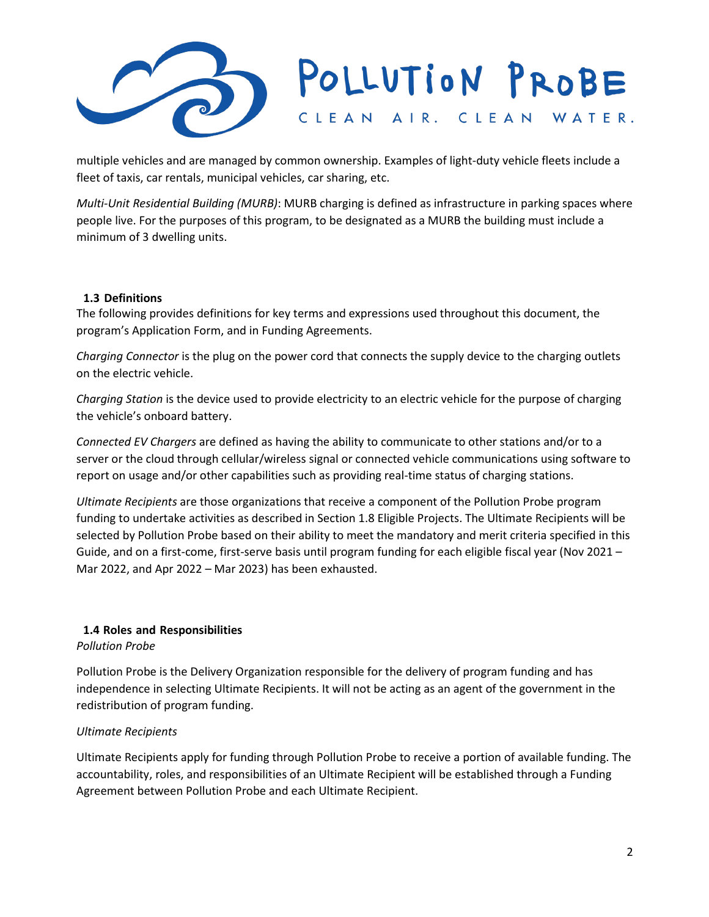

multiple vehicles and are managed by common ownership. Examples of light-duty vehicle fleets include a fleet of taxis, car rentals, municipal vehicles, car sharing, etc.

*Multi-Unit Residential Building (MURB)*: MURB charging is defined as infrastructure in parking spaces where people live. For the purposes of this program, to be designated as a MURB the building must include a minimum of 3 dwelling units.

#### **1.3 Definitions**

The following provides definitions for key terms and expressions used throughout this document, the program's Application Form, and in Funding Agreements.

*Charging Connector* is the plug on the power cord that connects the supply device to the charging outlets on the electric vehicle.

*Charging Station* is the device used to provide electricity to an electric vehicle for the purpose of charging the vehicle's onboard battery.

*Connected EV Chargers* are defined as having the ability to communicate to other stations and/or to a server or the cloud through cellular/wireless signal or connected vehicle communications using software to report on usage and/or other capabilities such as providing real-time status of charging stations.

*Ultimate Recipients* are those organizations that receive a component of the Pollution Probe program funding to undertake activities as described in Section 1.8 Eligible Projects. The Ultimate Recipients will be selected by Pollution Probe based on their ability to meet the mandatory and merit criteria specified in this Guide, and on a first-come, first-serve basis until program funding for each eligible fiscal year (Nov 2021 – Mar 2022, and Apr 2022 – Mar 2023) has been exhausted.

## **1.4 Roles and Responsibilities**

*Pollution Probe*

Pollution Probe is the Delivery Organization responsible for the delivery of program funding and has independence in selecting Ultimate Recipients. It will not be acting as an agent of the government in the redistribution of program funding.

## *Ultimate Recipients*

Ultimate Recipients apply for funding through Pollution Probe to receive a portion of available funding. The accountability, roles, and responsibilities of an Ultimate Recipient will be established through a Funding Agreement between Pollution Probe and each Ultimate Recipient.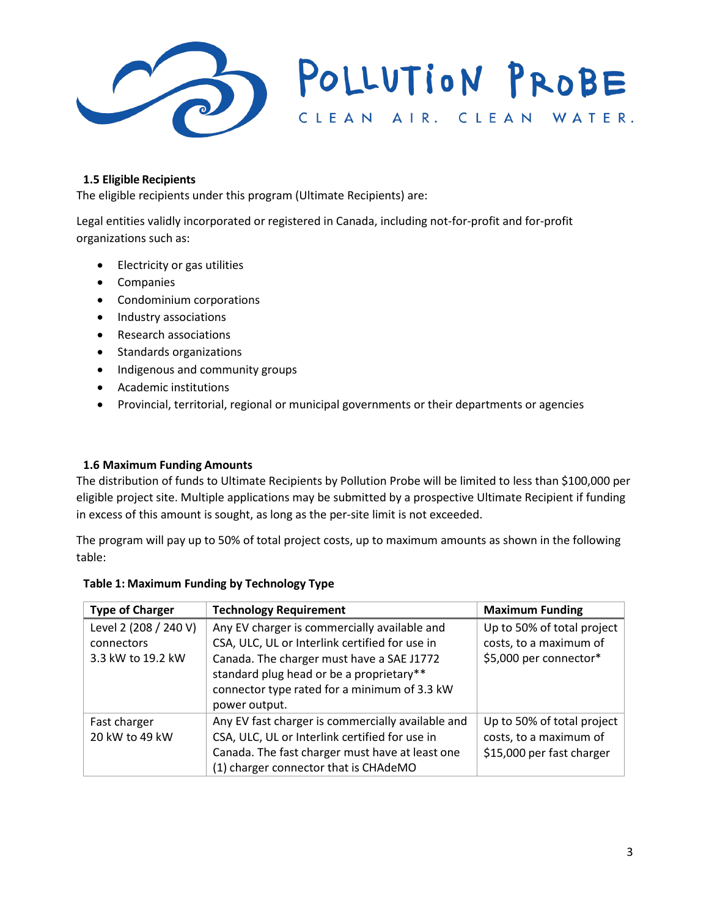

#### **1.5 Eligible Recipients**

The eligible recipients under this program (Ultimate Recipients) are:

Legal entities validly incorporated or registered in Canada, including not-for-profit and for-profit organizations such as:

- Electricity or gas utilities
- **Companies**
- Condominium corporations
- Industry associations
- Research associations
- Standards organizations
- Indigenous and community groups
- Academic institutions
- Provincial, territorial, regional or municipal governments or their departments or agencies

#### **1.6 Maximum Funding Amounts**

The distribution of funds to Ultimate Recipients by Pollution Probe will be limited to less than \$100,000 per eligible project site. Multiple applications may be submitted by a prospective Ultimate Recipient if funding in excess of this amount is sought, as long as the per-site limit is not exceeded.

The program will pay up to 50% of total project costs, up to maximum amounts as shown in the following table:

| <b>Type of Charger</b>         | <b>Technology Requirement</b>                                                                                                                                                                   | <b>Maximum Funding</b>                                                            |
|--------------------------------|-------------------------------------------------------------------------------------------------------------------------------------------------------------------------------------------------|-----------------------------------------------------------------------------------|
| Level 2 (208 / 240 V)          | Any EV charger is commercially available and                                                                                                                                                    | Up to 50% of total project                                                        |
| connectors                     | CSA, ULC, UL or Interlink certified for use in                                                                                                                                                  | costs, to a maximum of                                                            |
| 3.3 kW to 19.2 kW              | Canada. The charger must have a SAE J1772<br>standard plug head or be a proprietary**<br>connector type rated for a minimum of 3.3 kW<br>power output.                                          | \$5,000 per connector*                                                            |
| Fast charger<br>20 kW to 49 kW | Any EV fast charger is commercially available and<br>CSA, ULC, UL or Interlink certified for use in<br>Canada. The fast charger must have at least one<br>(1) charger connector that is CHAdeMO | Up to 50% of total project<br>costs, to a maximum of<br>\$15,000 per fast charger |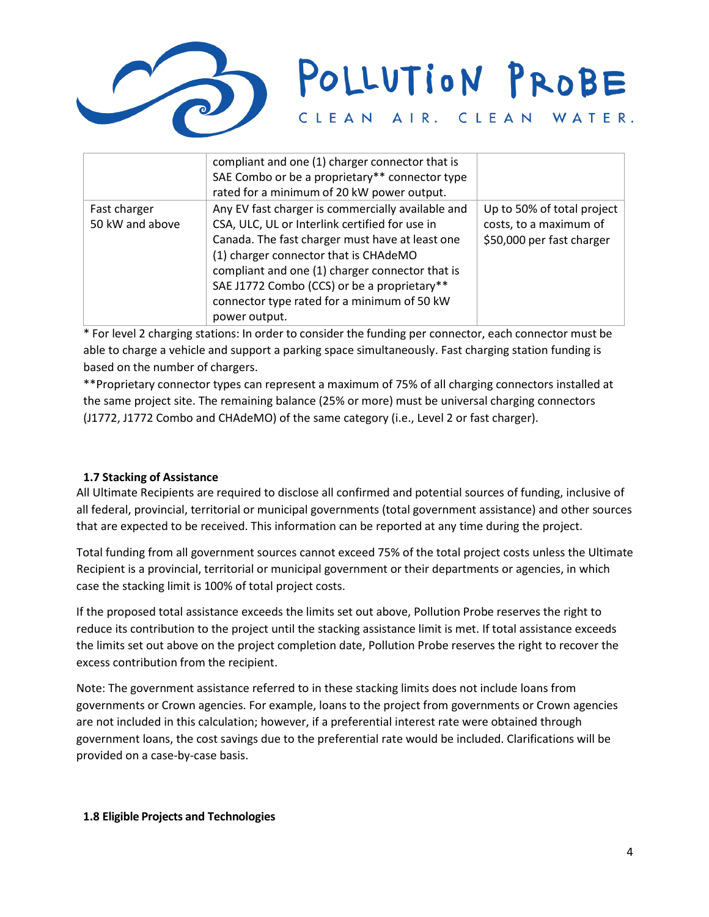

|                                 | compliant and one (1) charger connector that is<br>SAE Combo or be a proprietary** connector type<br>rated for a minimum of 20 kW power output.                                                                                                                                                                                                                   |                                                                                   |
|---------------------------------|-------------------------------------------------------------------------------------------------------------------------------------------------------------------------------------------------------------------------------------------------------------------------------------------------------------------------------------------------------------------|-----------------------------------------------------------------------------------|
| Fast charger<br>50 kW and above | Any EV fast charger is commercially available and<br>CSA, ULC, UL or Interlink certified for use in<br>Canada. The fast charger must have at least one<br>(1) charger connector that is CHAdeMO<br>compliant and one (1) charger connector that is<br>SAE J1772 Combo (CCS) or be a proprietary**<br>connector type rated for a minimum of 50 kW<br>power output. | Up to 50% of total project<br>costs, to a maximum of<br>\$50,000 per fast charger |

\* For level 2 charging stations: In order to consider the funding per connector, each connector must be able to charge a vehicle and support a parking space simultaneously. Fast charging station funding is based on the number of chargers.

\*\*Proprietary connector types can represent a maximum of 75% of all charging connectors installed at the same project site. The remaining balance (25% or more) must be universal charging connectors (J1772, J1772 Combo and CHAdeMO) of the same category (i.e., Level 2 or fast charger).

## **1.7 Stacking of Assistance**

All Ultimate Recipients are required to disclose all confirmed and potential sources of funding, inclusive of all federal, provincial, territorial or municipal governments (total government assistance) and other sources that are expected to be received. This information can be reported at any time during the project.

Total funding from all government sources cannot exceed 75% of the total project costs unless the Ultimate Recipient is a provincial, territorial or municipal government or their departments or agencies, in which case the stacking limit is 100% of total project costs.

If the proposed total assistance exceeds the limits set out above, Pollution Probe reserves the right to reduce its contribution to the project until the stacking assistance limit is met. If total assistance exceeds the limits set out above on the project completion date, Pollution Probe reserves the right to recover the excess contribution from the recipient.

Note: The government assistance referred to in these stacking limits does not include loans from governments or Crown agencies. For example, loans to the project from governments or Crown agencies are not included in this calculation; however, if a preferential interest rate were obtained through government loans, the cost savings due to the preferential rate would be included. Clarifications will be provided on a case-by-case basis.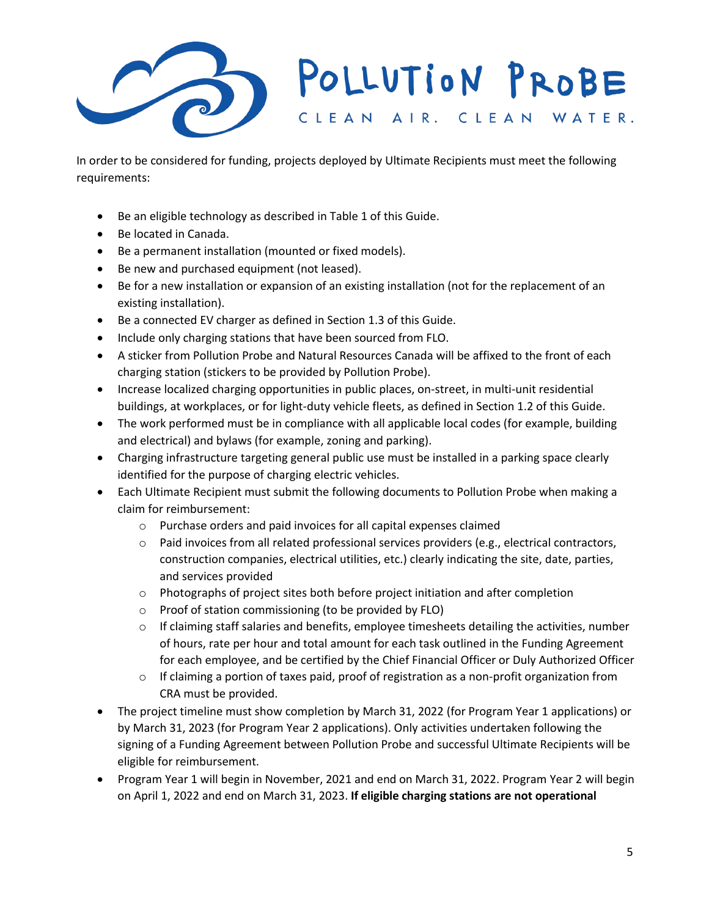

In order to be considered for funding, projects deployed by Ultimate Recipients must meet the following requirements:

- Be an eligible technology as described in Table 1 of this Guide.
- Be located in Canada.
- Be a permanent installation (mounted or fixed models).
- Be new and purchased equipment (not leased).
- Be for a new installation or expansion of an existing installation (not for the replacement of an existing installation).
- Be a connected EV charger as defined in Section 1.3 of this Guide.
- Include only charging stations that have been sourced from FLO.
- A sticker from Pollution Probe and Natural Resources Canada will be affixed to the front of each charging station (stickers to be provided by Pollution Probe).
- Increase localized charging opportunities in public places, on-street, in multi-unit residential buildings, at workplaces, or for light-duty vehicle fleets, as defined in Section 1.2 of this Guide.
- The work performed must be in compliance with all applicable local codes (for example, building and electrical) and bylaws (for example, zoning and parking).
- Charging infrastructure targeting general public use must be installed in a parking space clearly identified for the purpose of charging electric vehicles.
- Each Ultimate Recipient must submit the following documents to Pollution Probe when making a claim for reimbursement:
	- o Purchase orders and paid invoices for all capital expenses claimed
	- $\circ$  Paid invoices from all related professional services providers (e.g., electrical contractors, construction companies, electrical utilities, etc.) clearly indicating the site, date, parties, and services provided
	- o Photographs of project sites both before project initiation and after completion
	- o Proof of station commissioning (to be provided by FLO)
	- $\circ$  If claiming staff salaries and benefits, employee timesheets detailing the activities, number of hours, rate per hour and total amount for each task outlined in the Funding Agreement for each employee, and be certified by the Chief Financial Officer or Duly Authorized Officer
	- $\circ$  If claiming a portion of taxes paid, proof of registration as a non-profit organization from CRA must be provided.
- The project timeline must show completion by March 31, 2022 (for Program Year 1 applications) or by March 31, 2023 (for Program Year 2 applications). Only activities undertaken following the signing of a Funding Agreement between Pollution Probe and successful Ultimate Recipients will be eligible for reimbursement.
- Program Year 1 will begin in November, 2021 and end on March 31, 2022. Program Year 2 will begin on April 1, 2022 and end on March 31, 2023. **If eligible charging stations are not operational**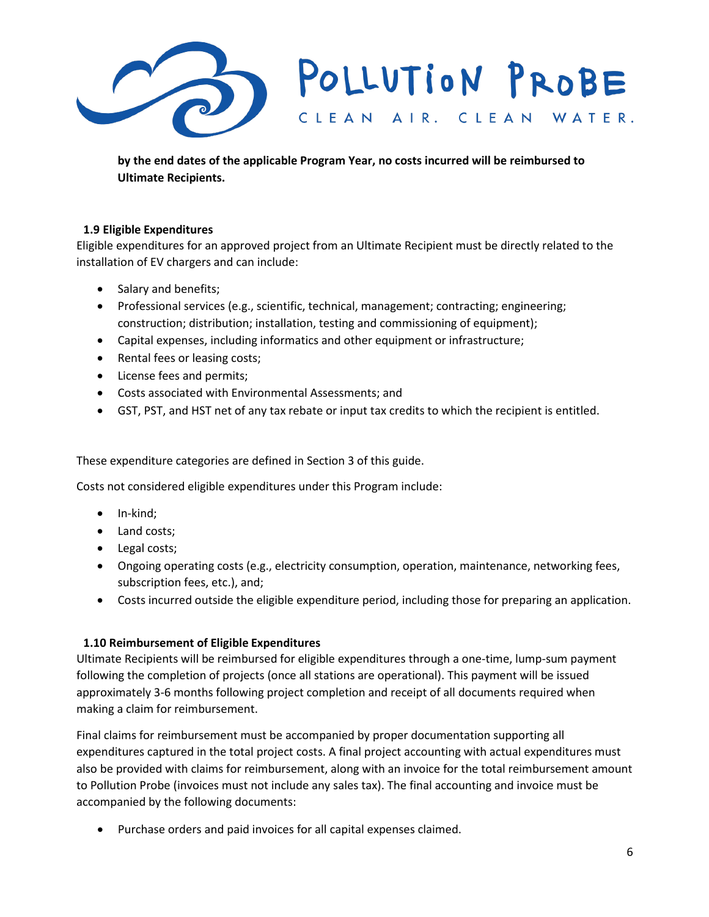

**by the end dates of the applicable Program Year, no costs incurred will be reimbursed to Ultimate Recipients.** 

## **1.9 Eligible Expenditures**

Eligible expenditures for an approved project from an Ultimate Recipient must be directly related to the installation of EV chargers and can include:

- Salary and benefits;
- Professional services (e.g., scientific, technical, management; contracting; engineering; construction; distribution; installation, testing and commissioning of equipment);
- Capital expenses, including informatics and other equipment or infrastructure;
- Rental fees or leasing costs;
- License fees and permits;
- Costs associated with Environmental Assessments; and
- GST, PST, and HST net of any tax rebate or input tax credits to which the recipient is entitled.

These expenditure categories are defined in Section 3 of this guide.

Costs not considered eligible expenditures under this Program include:

- In-kind;
- Land costs;
- Legal costs;
- Ongoing operating costs (e.g., electricity consumption, operation, maintenance, networking fees, subscription fees, etc.), and;
- Costs incurred outside the eligible expenditure period, including those for preparing an application.

#### **1.10 Reimbursement of Eligible Expenditures**

Ultimate Recipients will be reimbursed for eligible expenditures through a one-time, lump-sum payment following the completion of projects (once all stations are operational). This payment will be issued approximately 3-6 months following project completion and receipt of all documents required when making a claim for reimbursement.

Final claims for reimbursement must be accompanied by proper documentation supporting all expenditures captured in the total project costs. A final project accounting with actual expenditures must also be provided with claims for reimbursement, along with an invoice for the total reimbursement amount to Pollution Probe (invoices must not include any sales tax). The final accounting and invoice must be accompanied by the following documents:

• Purchase orders and paid invoices for all capital expenses claimed.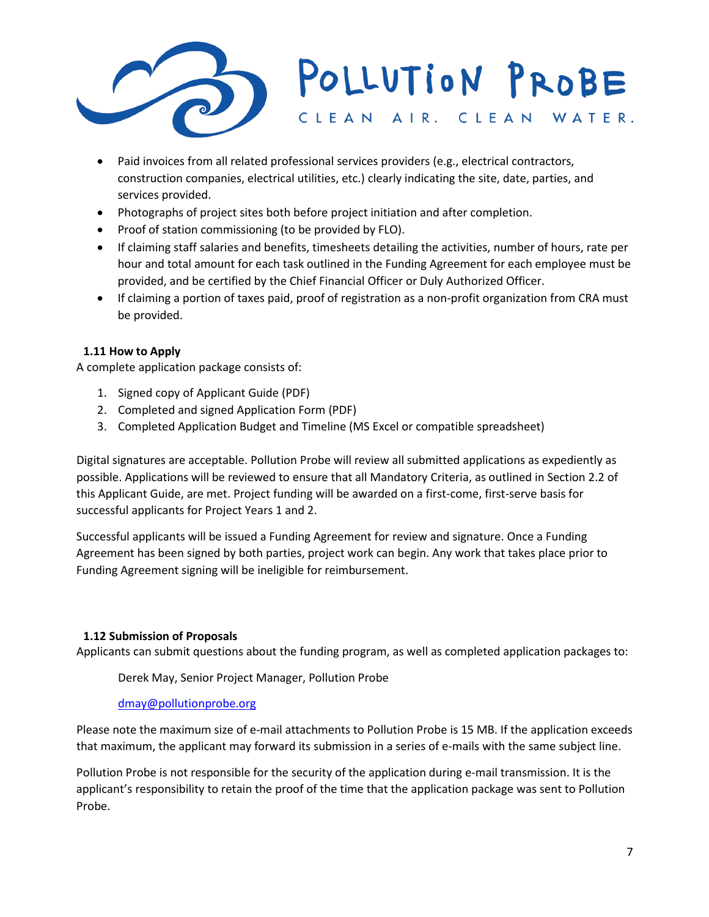

- Paid invoices from all related professional services providers (e.g., electrical contractors, construction companies, electrical utilities, etc.) clearly indicating the site, date, parties, and services provided.
- Photographs of project sites both before project initiation and after completion.
- Proof of station commissioning (to be provided by FLO).
- If claiming staff salaries and benefits, timesheets detailing the activities, number of hours, rate per hour and total amount for each task outlined in the Funding Agreement for each employee must be provided, and be certified by the Chief Financial Officer or Duly Authorized Officer.
- If claiming a portion of taxes paid, proof of registration as a non-profit organization from CRA must be provided.

## **1.11 How to Apply**

A complete application package consists of:

- 1. Signed copy of Applicant Guide (PDF)
- 2. Completed and signed Application Form (PDF)
- 3. Completed Application Budget and Timeline (MS Excel or compatible spreadsheet)

Digital signatures are acceptable. Pollution Probe will review all submitted applications as expediently as possible. Applications will be reviewed to ensure that all Mandatory Criteria, as outlined in Section 2.2 of this Applicant Guide, are met. Project funding will be awarded on a first-come, first-serve basis for successful applicants for Project Years 1 and 2.

Successful applicants will be issued a Funding Agreement for review and signature. Once a Funding Agreement has been signed by both parties, project work can begin. Any work that takes place prior to Funding Agreement signing will be ineligible for reimbursement.

#### **1.12 Submission of Proposals**

Applicants can submit questions about the funding program, as well as completed application packages to:

Derek May, Senior Project Manager, Pollution Probe

#### [dmay@pollutionprobe.org](mailto:dmay@pollutionprobe.org)

Please note the maximum size of e-mail attachments to Pollution Probe is 15 MB. If the application exceeds that maximum, the applicant may forward its submission in a series of e-mails with the same subject line.

Pollution Probe is not responsible for the security of the application during e-mail transmission. It is the applicant's responsibility to retain the proof of the time that the application package was sent to Pollution Probe.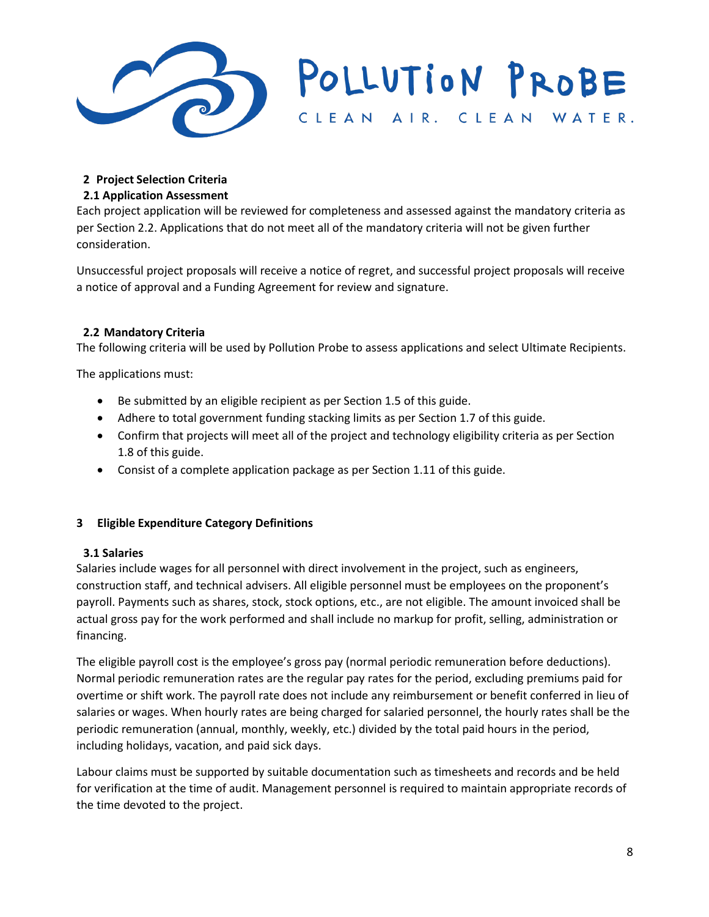

# **2 Project Selection Criteria**

## **2.1 Application Assessment**

Each project application will be reviewed for completeness and assessed against the mandatory criteria as per Section 2.2. Applications that do not meet all of the mandatory criteria will not be given further consideration.

Unsuccessful project proposals will receive a notice of regret, and successful project proposals will receive a notice of approval and a Funding Agreement for review and signature.

## **2.2 Mandatory Criteria**

The following criteria will be used by Pollution Probe to assess applications and select Ultimate Recipients.

The applications must:

- Be submitted by an eligible recipient as per Section 1.5 of this guide.
- Adhere to total government funding stacking limits as per Section 1.7 of this guide.
- Confirm that projects will meet all of the project and technology eligibility criteria as per Section 1.8 of this guide.
- Consist of a complete application package as per Section 1.11 of this guide.

## **3 Eligible Expenditure Category Definitions**

## **3.1 Salaries**

Salaries include wages for all personnel with direct involvement in the project, such as engineers, construction staff, and technical advisers. All eligible personnel must be employees on the proponent's payroll. Payments such as shares, stock, stock options, etc., are not eligible. The amount invoiced shall be actual gross pay for the work performed and shall include no markup for profit, selling, administration or financing.

The eligible payroll cost is the employee's gross pay (normal periodic remuneration before deductions). Normal periodic remuneration rates are the regular pay rates for the period, excluding premiums paid for overtime or shift work. The payroll rate does not include any reimbursement or benefit conferred in lieu of salaries or wages. When hourly rates are being charged for salaried personnel, the hourly rates shall be the periodic remuneration (annual, monthly, weekly, etc.) divided by the total paid hours in the period, including holidays, vacation, and paid sick days.

Labour claims must be supported by suitable documentation such as timesheets and records and be held for verification at the time of audit. Management personnel is required to maintain appropriate records of the time devoted to the project.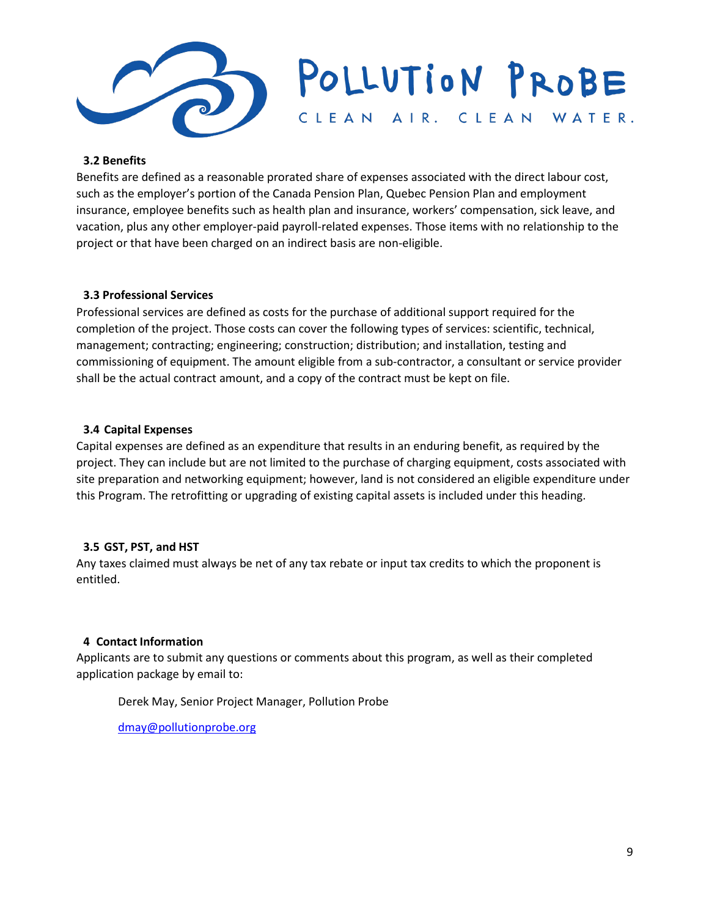

#### **3.2 Benefits**

Benefits are defined as a reasonable prorated share of expenses associated with the direct labour cost, such as the employer's portion of the Canada Pension Plan, Quebec Pension Plan and employment insurance, employee benefits such as health plan and insurance, workers' compensation, sick leave, and vacation, plus any other employer-paid payroll-related expenses. Those items with no relationship to the project or that have been charged on an indirect basis are non-eligible.

#### **3.3 Professional Services**

Professional services are defined as costs for the purchase of additional support required for the completion of the project. Those costs can cover the following types of services: scientific, technical, management; contracting; engineering; construction; distribution; and installation, testing and commissioning of equipment. The amount eligible from a sub-contractor, a consultant or service provider shall be the actual contract amount, and a copy of the contract must be kept on file.

#### **3.4 Capital Expenses**

Capital expenses are defined as an expenditure that results in an enduring benefit, as required by the project. They can include but are not limited to the purchase of charging equipment, costs associated with site preparation and networking equipment; however, land is not considered an eligible expenditure under this Program. The retrofitting or upgrading of existing capital assets is included under this heading.

#### **3.5 GST, PST, and HST**

Any taxes claimed must always be net of any tax rebate or input tax credits to which the proponent is entitled.

#### **4 Contact Information**

Applicants are to submit any questions or comments about this program, as well as their completed application package by email to:

Derek May, Senior Project Manager, Pollution Probe

[dmay@pollutionprobe.org](mailto:dmay@pollutionprobe.org)